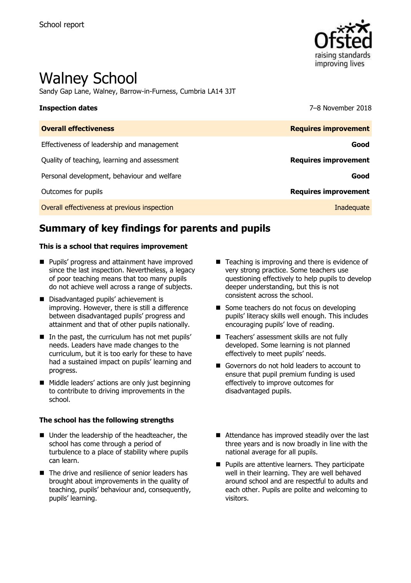

# Walney School

Sandy Gap Lane, Walney, Barrow-in-Furness, Cumbria LA14 3JT

**Inspection dates** 7–8 November 2018

| <b>Overall effectiveness</b>                 | <b>Requires improvement</b> |
|----------------------------------------------|-----------------------------|
| Effectiveness of leadership and management   | Good                        |
| Quality of teaching, learning and assessment | <b>Requires improvement</b> |
| Personal development, behaviour and welfare  | Good                        |
| Outcomes for pupils                          | <b>Requires improvement</b> |
| Overall effectiveness at previous inspection | Inadequate                  |

# **Summary of key findings for parents and pupils**

### **This is a school that requires improvement**

- **Pupils' progress and attainment have improved** since the last inspection. Nevertheless, a legacy of poor teaching means that too many pupils do not achieve well across a range of subjects.
- Disadvantaged pupils' achievement is improving. However, there is still a difference between disadvantaged pupils' progress and attainment and that of other pupils nationally.
- In the past, the curriculum has not met pupils' needs. Leaders have made changes to the curriculum, but it is too early for these to have had a sustained impact on pupils' learning and progress.
- Middle leaders' actions are only just beginning to contribute to driving improvements in the school.

### **The school has the following strengths**

- Under the leadership of the headteacher, the school has come through a period of turbulence to a place of stability where pupils can learn.
- The drive and resilience of senior leaders has brought about improvements in the quality of teaching, pupils' behaviour and, consequently, pupils' learning.
- $\blacksquare$  Teaching is improving and there is evidence of very strong practice. Some teachers use questioning effectively to help pupils to develop deeper understanding, but this is not consistent across the school.
- Some teachers do not focus on developing pupils' literacy skills well enough. This includes encouraging pupils' love of reading.
- Teachers' assessment skills are not fully developed. Some learning is not planned effectively to meet pupils' needs.
- Governors do not hold leaders to account to ensure that pupil premium funding is used effectively to improve outcomes for disadvantaged pupils.
- Attendance has improved steadily over the last three years and is now broadly in line with the national average for all pupils.
- **Pupils are attentive learners. They participate** well in their learning. They are well behaved around school and are respectful to adults and each other. Pupils are polite and welcoming to visitors.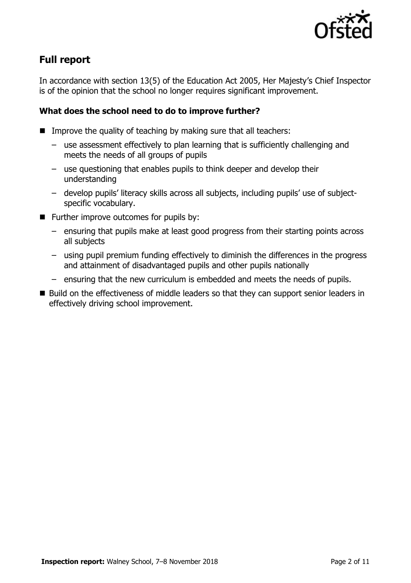

# **Full report**

In accordance with section 13(5) of the Education Act 2005, Her Majesty's Chief Inspector is of the opinion that the school no longer requires significant improvement.

### **What does the school need to do to improve further?**

- Improve the quality of teaching by making sure that all teachers:
	- use assessment effectively to plan learning that is sufficiently challenging and meets the needs of all groups of pupils
	- use questioning that enables pupils to think deeper and develop their understanding
	- develop pupils' literacy skills across all subjects, including pupils' use of subjectspecific vocabulary.
- **Further improve outcomes for pupils by:** 
	- ensuring that pupils make at least good progress from their starting points across all subjects
	- using pupil premium funding effectively to diminish the differences in the progress and attainment of disadvantaged pupils and other pupils nationally
	- ensuring that the new curriculum is embedded and meets the needs of pupils.
- Build on the effectiveness of middle leaders so that they can support senior leaders in effectively driving school improvement.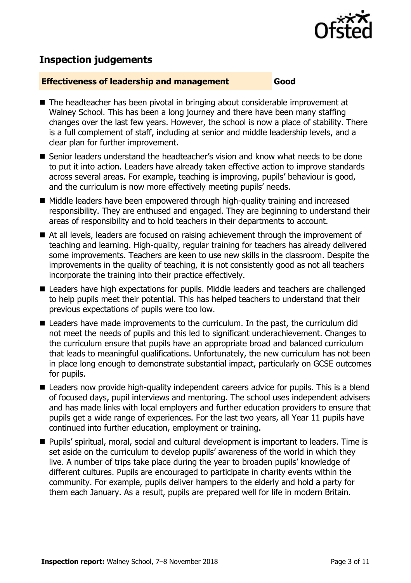

# **Inspection judgements**

### **Effectiveness of leadership and management Good**

- The headteacher has been pivotal in bringing about considerable improvement at Walney School. This has been a long journey and there have been many staffing changes over the last few years. However, the school is now a place of stability. There is a full complement of staff, including at senior and middle leadership levels, and a clear plan for further improvement.
- Senior leaders understand the headteacher's vision and know what needs to be done to put it into action. Leaders have already taken effective action to improve standards across several areas. For example, teaching is improving, pupils' behaviour is good, and the curriculum is now more effectively meeting pupils' needs.
- Middle leaders have been empowered through high-quality training and increased responsibility. They are enthused and engaged. They are beginning to understand their areas of responsibility and to hold teachers in their departments to account.
- At all levels, leaders are focused on raising achievement through the improvement of teaching and learning. High-quality, regular training for teachers has already delivered some improvements. Teachers are keen to use new skills in the classroom. Despite the improvements in the quality of teaching, it is not consistently good as not all teachers incorporate the training into their practice effectively.
- Leaders have high expectations for pupils. Middle leaders and teachers are challenged to help pupils meet their potential. This has helped teachers to understand that their previous expectations of pupils were too low.
- Leaders have made improvements to the curriculum. In the past, the curriculum did not meet the needs of pupils and this led to significant underachievement. Changes to the curriculum ensure that pupils have an appropriate broad and balanced curriculum that leads to meaningful qualifications. Unfortunately, the new curriculum has not been in place long enough to demonstrate substantial impact, particularly on GCSE outcomes for pupils.
- Leaders now provide high-quality independent careers advice for pupils. This is a blend of focused days, pupil interviews and mentoring. The school uses independent advisers and has made links with local employers and further education providers to ensure that pupils get a wide range of experiences. For the last two years, all Year 11 pupils have continued into further education, employment or training.
- Pupils' spiritual, moral, social and cultural development is important to leaders. Time is set aside on the curriculum to develop pupils' awareness of the world in which they live. A number of trips take place during the year to broaden pupils' knowledge of different cultures. Pupils are encouraged to participate in charity events within the community. For example, pupils deliver hampers to the elderly and hold a party for them each January. As a result, pupils are prepared well for life in modern Britain.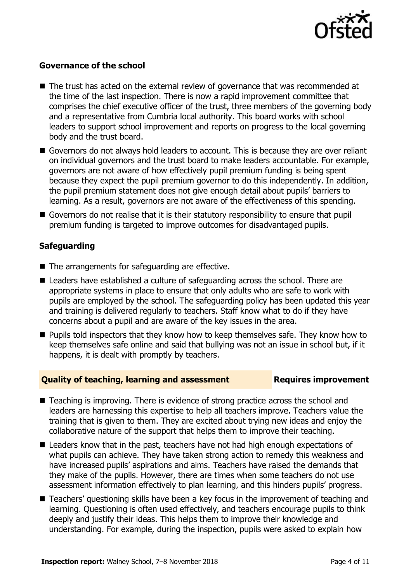

### **Governance of the school**

- The trust has acted on the external review of governance that was recommended at the time of the last inspection. There is now a rapid improvement committee that comprises the chief executive officer of the trust, three members of the governing body and a representative from Cumbria local authority. This board works with school leaders to support school improvement and reports on progress to the local governing body and the trust board.
- Governors do not always hold leaders to account. This is because they are over reliant on individual governors and the trust board to make leaders accountable. For example, governors are not aware of how effectively pupil premium funding is being spent because they expect the pupil premium governor to do this independently. In addition, the pupil premium statement does not give enough detail about pupils' barriers to learning. As a result, governors are not aware of the effectiveness of this spending.
- Governors do not realise that it is their statutory responsibility to ensure that pupil premium funding is targeted to improve outcomes for disadvantaged pupils.

### **Safeguarding**

- The arrangements for safeguarding are effective.
- Leaders have established a culture of safeguarding across the school. There are appropriate systems in place to ensure that only adults who are safe to work with pupils are employed by the school. The safeguarding policy has been updated this year and training is delivered regularly to teachers. Staff know what to do if they have concerns about a pupil and are aware of the key issues in the area.
- **Pupils told inspectors that they know how to keep themselves safe. They know how to** keep themselves safe online and said that bullying was not an issue in school but, if it happens, it is dealt with promptly by teachers.

### **Quality of teaching, learning and assessment Requires improvement**

- Teaching is improving. There is evidence of strong practice across the school and leaders are harnessing this expertise to help all teachers improve. Teachers value the training that is given to them. They are excited about trying new ideas and enjoy the collaborative nature of the support that helps them to improve their teaching.
- Leaders know that in the past, teachers have not had high enough expectations of what pupils can achieve. They have taken strong action to remedy this weakness and have increased pupils' aspirations and aims. Teachers have raised the demands that they make of the pupils. However, there are times when some teachers do not use assessment information effectively to plan learning, and this hinders pupils' progress.
- Teachers' questioning skills have been a key focus in the improvement of teaching and learning. Questioning is often used effectively, and teachers encourage pupils to think deeply and justify their ideas. This helps them to improve their knowledge and understanding. For example, during the inspection, pupils were asked to explain how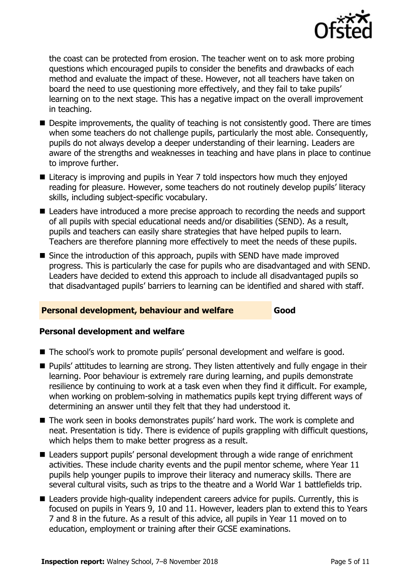

the coast can be protected from erosion. The teacher went on to ask more probing questions which encouraged pupils to consider the benefits and drawbacks of each method and evaluate the impact of these. However, not all teachers have taken on board the need to use questioning more effectively, and they fail to take pupils' learning on to the next stage. This has a negative impact on the overall improvement in teaching.

- **Despite improvements, the quality of teaching is not consistently good. There are times** when some teachers do not challenge pupils, particularly the most able. Consequently, pupils do not always develop a deeper understanding of their learning. Leaders are aware of the strengths and weaknesses in teaching and have plans in place to continue to improve further.
- Literacy is improving and pupils in Year 7 told inspectors how much they enjoyed reading for pleasure. However, some teachers do not routinely develop pupils' literacy skills, including subject-specific vocabulary.
- **E** Leaders have introduced a more precise approach to recording the needs and support of all pupils with special educational needs and/or disabilities (SEND). As a result, pupils and teachers can easily share strategies that have helped pupils to learn. Teachers are therefore planning more effectively to meet the needs of these pupils.
- Since the introduction of this approach, pupils with SEND have made improved progress. This is particularly the case for pupils who are disadvantaged and with SEND. Leaders have decided to extend this approach to include all disadvantaged pupils so that disadvantaged pupils' barriers to learning can be identified and shared with staff.

### **Personal development, behaviour and welfare Good**

### **Personal development and welfare**

- The school's work to promote pupils' personal development and welfare is good.
- Pupils' attitudes to learning are strong. They listen attentively and fully engage in their learning. Poor behaviour is extremely rare during learning, and pupils demonstrate resilience by continuing to work at a task even when they find it difficult. For example, when working on problem-solving in mathematics pupils kept trying different ways of determining an answer until they felt that they had understood it.
- The work seen in books demonstrates pupils' hard work. The work is complete and neat. Presentation is tidy. There is evidence of pupils grappling with difficult questions, which helps them to make better progress as a result.
- Leaders support pupils' personal development through a wide range of enrichment activities. These include charity events and the pupil mentor scheme, where Year 11 pupils help younger pupils to improve their literacy and numeracy skills. There are several cultural visits, such as trips to the theatre and a World War 1 battlefields trip.
- Leaders provide high-quality independent careers advice for pupils. Currently, this is focused on pupils in Years 9, 10 and 11. However, leaders plan to extend this to Years 7 and 8 in the future. As a result of this advice, all pupils in Year 11 moved on to education, employment or training after their GCSE examinations.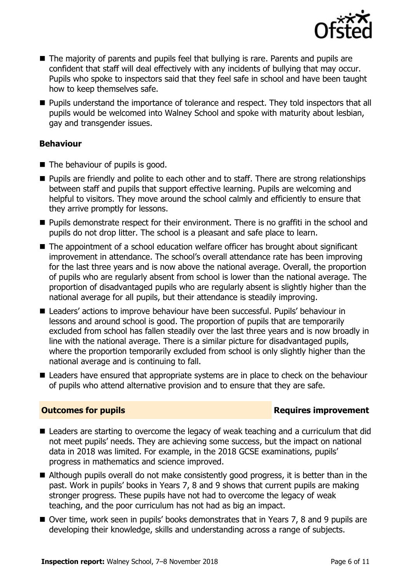

- The majority of parents and pupils feel that bullying is rare. Parents and pupils are confident that staff will deal effectively with any incidents of bullying that may occur. Pupils who spoke to inspectors said that they feel safe in school and have been taught how to keep themselves safe.
- **Pupils understand the importance of tolerance and respect. They told inspectors that all** pupils would be welcomed into Walney School and spoke with maturity about lesbian, gay and transgender issues.

### **Behaviour**

- $\blacksquare$  The behaviour of pupils is good.
- **Pupils are friendly and polite to each other and to staff. There are strong relationships** between staff and pupils that support effective learning. Pupils are welcoming and helpful to visitors. They move around the school calmly and efficiently to ensure that they arrive promptly for lessons.
- **Pupils demonstrate respect for their environment. There is no graffiti in the school and** pupils do not drop litter. The school is a pleasant and safe place to learn.
- The appointment of a school education welfare officer has brought about significant improvement in attendance. The school's overall attendance rate has been improving for the last three years and is now above the national average. Overall, the proportion of pupils who are regularly absent from school is lower than the national average. The proportion of disadvantaged pupils who are regularly absent is slightly higher than the national average for all pupils, but their attendance is steadily improving.
- Leaders' actions to improve behaviour have been successful. Pupils' behaviour in lessons and around school is good. The proportion of pupils that are temporarily excluded from school has fallen steadily over the last three years and is now broadly in line with the national average. There is a similar picture for disadvantaged pupils, where the proportion temporarily excluded from school is only slightly higher than the national average and is continuing to fall.
- Leaders have ensured that appropriate systems are in place to check on the behaviour of pupils who attend alternative provision and to ensure that they are safe.

### **Outcomes for pupils Requires improvement**

- Leaders are starting to overcome the legacy of weak teaching and a curriculum that did not meet pupils' needs. They are achieving some success, but the impact on national data in 2018 was limited. For example, in the 2018 GCSE examinations, pupils' progress in mathematics and science improved.
- Although pupils overall do not make consistently good progress, it is better than in the past. Work in pupils' books in Years 7, 8 and 9 shows that current pupils are making stronger progress. These pupils have not had to overcome the legacy of weak teaching, and the poor curriculum has not had as big an impact.
- Over time, work seen in pupils' books demonstrates that in Years 7, 8 and 9 pupils are developing their knowledge, skills and understanding across a range of subjects.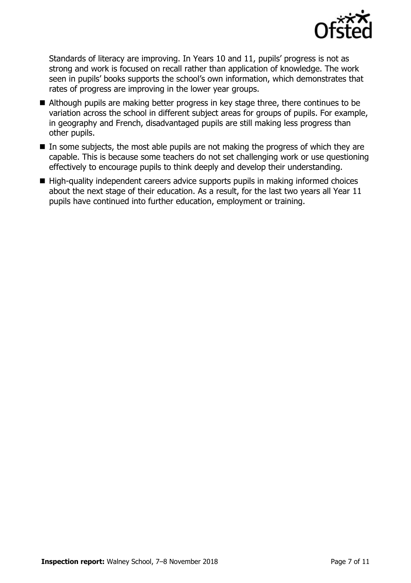

Standards of literacy are improving. In Years 10 and 11, pupils' progress is not as strong and work is focused on recall rather than application of knowledge. The work seen in pupils' books supports the school's own information, which demonstrates that rates of progress are improving in the lower year groups.

- Although pupils are making better progress in key stage three, there continues to be variation across the school in different subject areas for groups of pupils. For example, in geography and French, disadvantaged pupils are still making less progress than other pupils.
- $\blacksquare$  In some subjects, the most able pupils are not making the progress of which they are capable. This is because some teachers do not set challenging work or use questioning effectively to encourage pupils to think deeply and develop their understanding.
- High-quality independent careers advice supports pupils in making informed choices about the next stage of their education. As a result, for the last two years all Year 11 pupils have continued into further education, employment or training.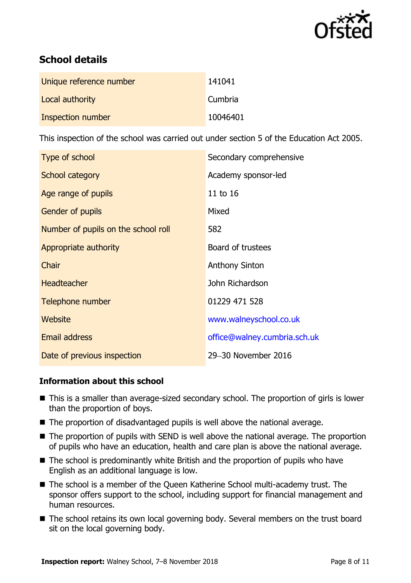

# **School details**

| Unique reference number | 141041   |
|-------------------------|----------|
| Local authority         | Cumbria  |
| Inspection number       | 10046401 |

This inspection of the school was carried out under section 5 of the Education Act 2005.

| Type of school                      | Secondary comprehensive      |
|-------------------------------------|------------------------------|
| School category                     | Academy sponsor-led          |
| Age range of pupils                 | 11 to 16                     |
| <b>Gender of pupils</b>             | Mixed                        |
| Number of pupils on the school roll | 582                          |
| Appropriate authority               | Board of trustees            |
| Chair                               | <b>Anthony Sinton</b>        |
| <b>Headteacher</b>                  | John Richardson              |
| Telephone number                    | 01229 471 528                |
| Website                             | www.walneyschool.co.uk       |
| <b>Email address</b>                | office@walney.cumbria.sch.uk |
| Date of previous inspection         | 29-30 November 2016          |

### **Information about this school**

- This is a smaller than average-sized secondary school. The proportion of girls is lower than the proportion of boys.
- The proportion of disadvantaged pupils is well above the national average.
- The proportion of pupils with SEND is well above the national average. The proportion of pupils who have an education, health and care plan is above the national average.
- The school is predominantly white British and the proportion of pupils who have English as an additional language is low.
- The school is a member of the Queen Katherine School multi-academy trust. The sponsor offers support to the school, including support for financial management and human resources.
- The school retains its own local governing body. Several members on the trust board sit on the local governing body.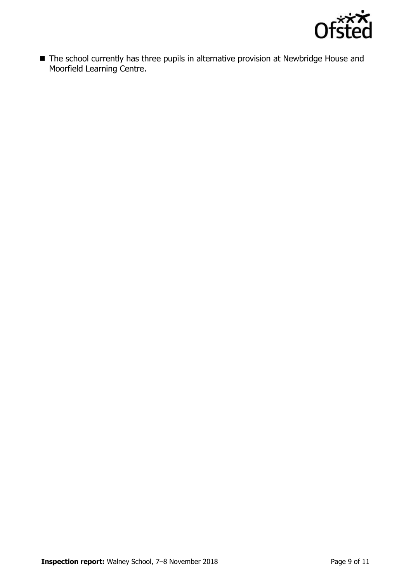

■ The school currently has three pupils in alternative provision at Newbridge House and Moorfield Learning Centre.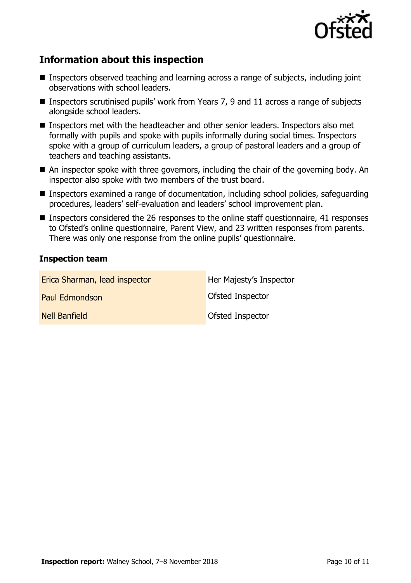

# **Information about this inspection**

- Inspectors observed teaching and learning across a range of subjects, including joint observations with school leaders.
- **Inspectors scrutinised pupils' work from Years 7, 9 and 11 across a range of subjects** alongside school leaders.
- Inspectors met with the headteacher and other senior leaders. Inspectors also met formally with pupils and spoke with pupils informally during social times. Inspectors spoke with a group of curriculum leaders, a group of pastoral leaders and a group of teachers and teaching assistants.
- An inspector spoke with three governors, including the chair of the governing body. An inspector also spoke with two members of the trust board.
- Inspectors examined a range of documentation, including school policies, safeguarding procedures, leaders' self-evaluation and leaders' school improvement plan.
- Inspectors considered the 26 responses to the online staff questionnaire, 41 responses to Ofsted's online questionnaire, Parent View, and 23 written responses from parents. There was only one response from the online pupils' questionnaire.

### **Inspection team**

| Erica Sharman, lead inspector | Her Majesty's Inspector |
|-------------------------------|-------------------------|
| Paul Edmondson                | Ofsted Inspector        |
| Nell Banfield                 | Ofsted Inspector        |